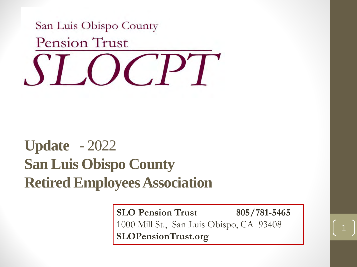

### **Update** - 2022 **San Luis Obispo County Retired Employees Association**

**SLO Pension Trust 805/781-5465** 1000 Mill St., San Luis Obispo, CA 93408 **SLOPensionTrust.org**

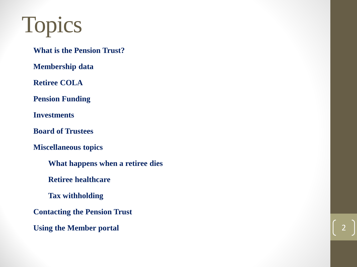# Topics

**What is the Pension Trust?**

**Membership data**

**Retiree COLA**

**Pension Funding**

**Investments**

**Board of Trustees**

**Miscellaneous topics**

**What happens when a retiree dies**

**Retiree healthcare**

**Tax withholding**

**Contacting the Pension Trust**

**Using the Member portal**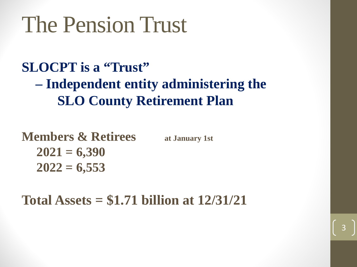## The Pension Trust

#### **SLOCPT is a "Trust" – Independent entity administering the SLO County Retirement Plan**

**Members & Retirees** at January 1st **2021 = 6,390 2022 = 6,553**

**Total Assets = \$1.71 billion at 12/31/21**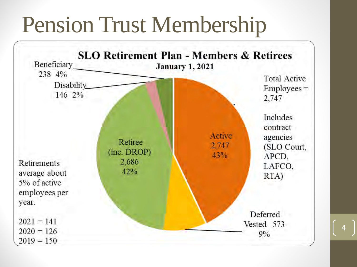## Pension Trust Membership

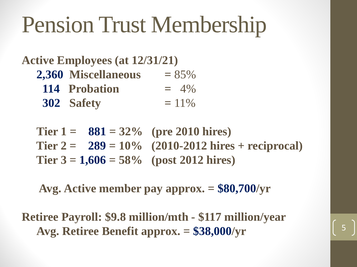# Pension Trust Membership

#### **Active Employees (at 12/31/21)**

- **2,360 Miscellaneous =** 85%
	- **114 Probation =** 4%
	- **302 Safety =** 11%

Tier  $1 = 881 = 32\%$  (pre 2010 hires) Tier  $2 = 289 = 10\%$  (2010-2012 hires + reciprocal) Tier  $3 = 1,606 = 58\%$  (post 2012 hires)

**Avg. Active member pay approx. = \$80,700/yr**

**Retiree Payroll: \$9.8 million/mth - \$117 million/year** Avg. Retiree Benefit approx.  $= $38,000/yr$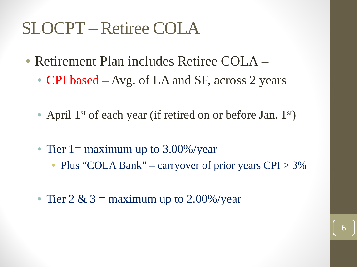## SLOCPT – Retiree COLA

- Retirement Plan includes Retiree COLA
	- **CPI** based Avg. of LA and SF, across 2 years
	- April 1<sup>st</sup> of each year (if retired on or before Jan. 1<sup>st</sup>)
	- Tier 1 = maximum up to  $3.00\%$ /year
		- Plus "COLA Bank" carryover of prior years CPI > 3%

6

• Tier 2 & 3 = maximum up to 2.00%/year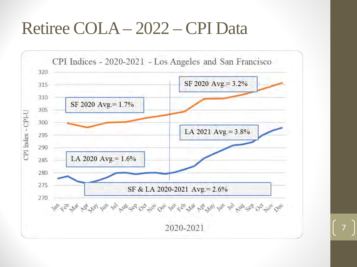## Retiree COLA – 2022 – CPI Data

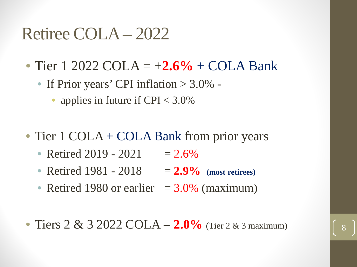### Retiree COLA – 2022

- Tier 1 2022 COLA =  $+2.6\%$  + COLA Bank
	- If Prior years' CPI inflation > 3.0% -
		- applies in future if CPI <  $3.0\%$
- Tier 1 COLA + COLA Bank from prior years
	- Retired 2019 2021  $= 2.6\%$
	- Retired 1981 2018 = 2.9% (most retirees)
	- Retired 1980 or earlier  $= 3.0\%$  (maximum)
- Tiers  $2 \& 3 \ 2022 \textrm{COLA} = 2.0\%$  (Tier  $2 \& 3$  maximum)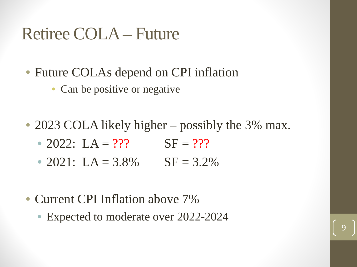### Retiree COLA – Future

- Future COLAs depend on CPI inflation
	- Can be positive or negative
- 2023 COLA likely higher possibly the 3% max.
	- 2022:  $LA = ?$ ?  $SF = ?$ ?
	- 2021: LA =  $3.8\%$  SF =  $3.2\%$
- Current CPI Inflation above 7%
	- Expected to moderate over 2022-2024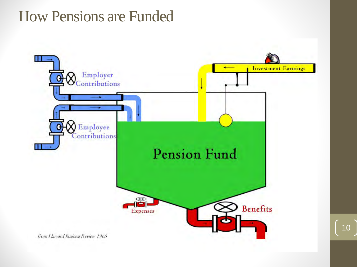#### How Pensions are Funded

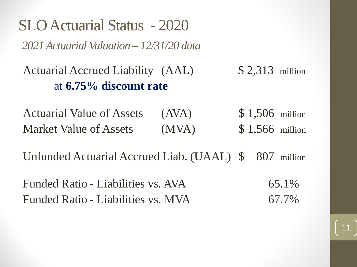SLO Actuarial Status - 2020 *2021 Actuarial Valuation – 12/31/20 data* 

Actuarial Accrued Liability (AAL) \$ 2,313 million at **6.75% discount rate**

Actuarial Value of Assets (AVA) \$ 1,506 million Market Value of Assets (MVA) \$ 1,566 million

Unfunded Actuarial Accrued Liab. (UAAL) \$ 807 million

Funded Ratio - Liabilities vs. AVA 65.1% Funded Ratio - Liabilities vs. MVA 67.7%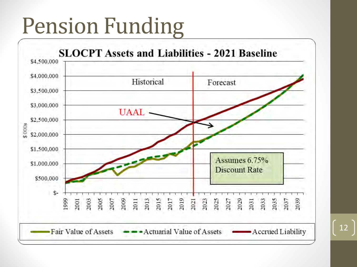# Pension Funding

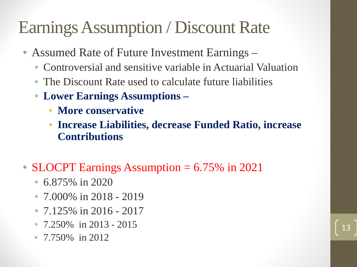## Earnings Assumption / Discount Rate

- Assumed Rate of Future Investment Earnings
	- Controversial and sensitive variable in Actuarial Valuation
	- The Discount Rate used to calculate future liabilities
	- **Lower Earnings Assumptions –**
		- **More conservative**
		- **Increase Liabilities, decrease Funded Ratio, increase Contributions**
- SLOCPT Earnings Assumption = 6.75% in 2021
	- 6.875% in 2020
	- 7.000% in 2018 2019
	- 7.125% in 2016 2017
	- 7.250\% in 2013 2015
	- 7.750% in 2012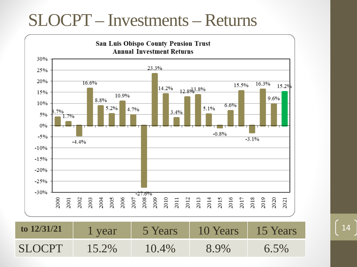## SLOCPT – Investments – Returns

![](_page_13_Figure_1.jpeg)

**to 12/31/21** 1 year 5 Years 10 Years 15 Years 14 SLOCPT 15.2% 10.4% 8.9% 6.5%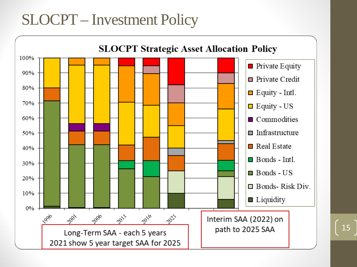#### SLOCPT – Investment Policy

![](_page_14_Figure_1.jpeg)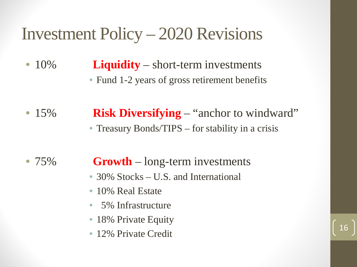## Investment Policy – 2020 Revisions

- 10% **Liquidity** short-term investments • Fund 1-2 years of gross retirement benefits
- 15% **Risk Diversifying** "anchor to windward" • Treasury Bonds/TIPS – for stability in a crisis

- 75% **Growth** long-term investments
	- 30% Stocks U.S. and International
	- 10% Real Estate
	- 5% Infrastructure
	- 18% Private Equity
	- 12% Private Credit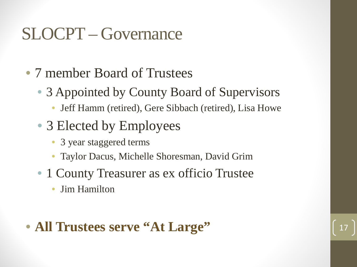## SLOCPT – Governance

- 7 member Board of Trustees
	- 3 Appointed by County Board of Supervisors
		- Jeff Hamm (retired), Gere Sibbach (retired), Lisa Howe
	- 3 Elected by Employees
		- 3 year staggered terms
		- Taylor Dacus, Michelle Shoresman, David Grim
	- 1 County Treasurer as ex officio Trustee
		- Jim Hamilton

#### • All Trustees serve "At Large"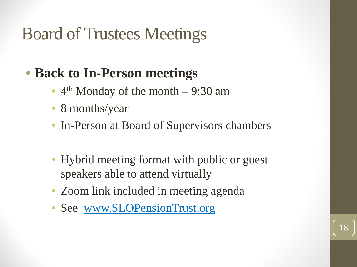## Board of Trustees Meetings

### • **Back to In-Person meetings**

- $4<sup>th</sup>$  Monday of the month 9:30 am
- 8 months/year
- In-Person at Board of Supervisors chambers
- Hybrid meeting format with public or guest speakers able to attend virtually

- Zoom link included in meeting agenda
- See [www.SLOPensionTrust.org](http://www.slopensiontrust.org/)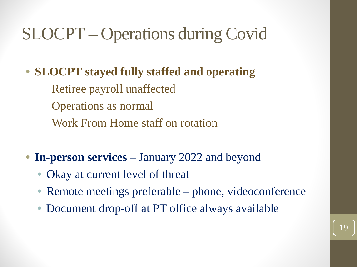## SLOCPT – Operations during Covid

• **SLOCPT stayed fully staffed and operating** Retiree payroll unaffected Operations as normal Work From Home staff on rotation

- **In-person services**  January 2022 and beyond
	- Okay at current level of threat
	- Remote meetings preferable phone, videoconference
	- Document drop-off at PT office always available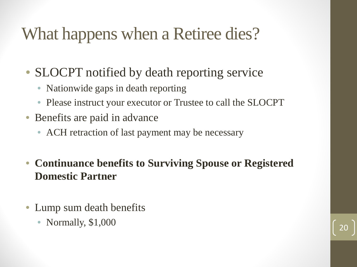## What happens when a Retiree dies?

- SLOCPT notified by death reporting service
	- Nationwide gaps in death reporting
	- Please instruct your executor or Trustee to call the SLOCPT
- Benefits are paid in advance
	- ACH retraction of last payment may be necessary
- **Continuance benefits to Surviving Spouse or Registered Domestic Partner**
- Lump sum death benefits
	- Normally, \$1,000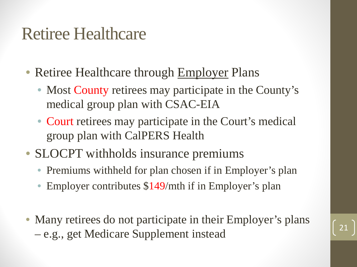### Retiree Healthcare

- Retiree Healthcare through Employer Plans
	- Most County retirees may participate in the County's medical group plan with CSAC-EIA
	- Court retirees may participate in the Court's medical group plan with CalPERS Health
- SLOCPT withholds insurance premiums
	- Premiums withheld for plan chosen if in Employer's plan
	- Employer contributes \$149/mth if in Employer's plan
- Many retirees do not participate in their Employer's plans – e.g., get Medicare Supplement instead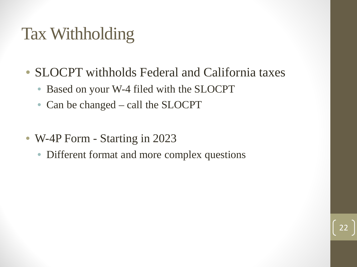## Tax Withholding

- SLOCPT withholds Federal and California taxes
	- Based on your W-4 filed with the SLOCPT
	- Can be changed call the SLOCPT
- W-4P Form Starting in 2023
	- Different format and more complex questions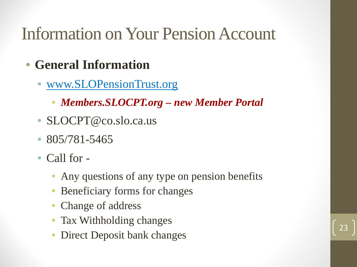## Information on Your Pension Account

- **General Information**
	- [www.SLOPensionTrust.org](http://www.slopensiontrust.org/)
		- *Members.SLOCPT.org – new Member Portal*
	- SLOCPT@co.slo.ca.us
	- $805/781 5465$
	- Call for -
		- Any questions of any type on pension benefits
		- Beneficiary forms for changes
		- Change of address
		- Tax Withholding changes
		- Direct Deposit bank changes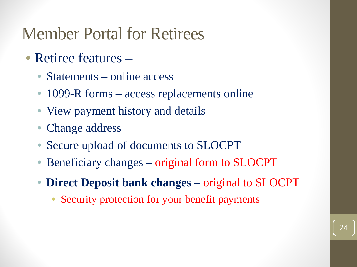## Member Portal for Retirees

- Retiree features
	- Statements online access
	- 1099-R forms access replacements online
	- View payment history and details
	- Change address
	- Secure upload of documents to SLOCPT
	- Beneficiary changes original form to SLOCPT
	- **Direct Deposit bank changes**  original to SLOCPT

24

Security protection for your benefit payments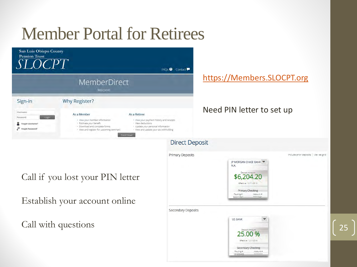![](_page_24_Picture_0.jpeg)